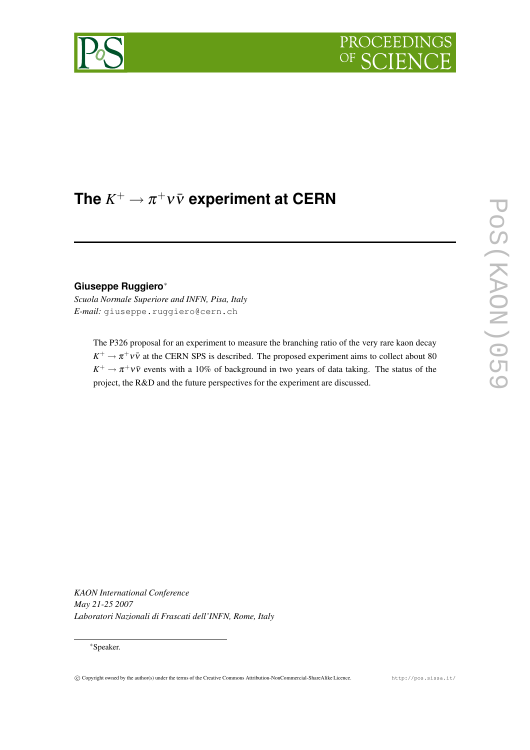

# The  $K^+ \to \pi^+ \nu \bar{\nu}$  experiment at CERN

# **Giuseppe Ruggiero** ∗

*Scuola Normale Superiore and INFN, Pisa, Italy E-mail:* giuseppe.ruggiero@cern.ch

> The P326 proposal for an experiment to measure the branching ratio of the very rare kaon decay  $K^+ \to \pi^+ \nu \bar{\nu}$  at the CERN SPS is described. The proposed experiment aims to collect about 80  $K^+ \to \pi^+ \nu \bar{\nu}$  events with a 10% of background in two years of data taking. The status of the project, the R&D and the future perspectives for the experiment are discussed.

*KAON International Conference May 21-25 2007 Laboratori Nazionali di Frascati dell'INFN, Rome, Italy*

## <sup>∗</sup>Speaker.

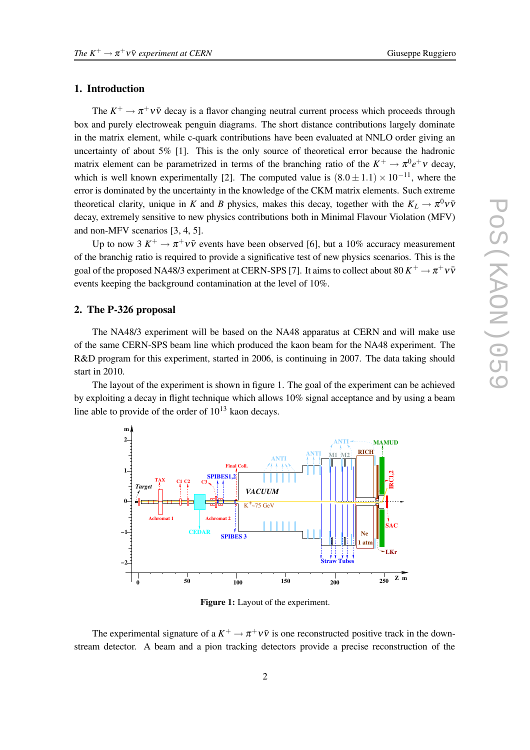# **1. Introduction**

The  $K^+ \to \pi^+ \nu \bar{\nu}$  decay is a flavor changing neutral current process which proceeds through box and purely electroweak penguin diagrams. The short distance contributions largely dominate in the matrix element, while c-quark contributions have been evaluated at NNLO order giving an uncertainty of about 5% [1]. This is the only source of theoretical error because the hadronic matrix element can be parametrized in terms of the branching ratio of the  $K^+ \to \pi^0 e^+ \nu$  decay, which is well known experimentally [2]. The computed value is  $(8.0 \pm 1.1) \times 10^{-11}$ , where the error is dominated by the uncertainty in the knowledge of the CKM matrix elements. Such extreme theoretical clarity, unique in *K* and *B* physics, makes this decay, together with the  $K_L \rightarrow \pi^0 \nu \bar{\nu}$ decay, extremely sensitive to new physics contributions both in Minimal Flavour Violation (MFV) and non-MFV scenarios [3, 4, 5].

Up to now  $3 K^+ \rightarrow \pi^+ \nu \bar{\nu}$  events have been observed [6], but a 10% accuracy measurement of the branchig ratio is required to provide a significative test of new physics scenarios. This is the goal of the proposed NA48/3 experiment at CERN-SPS [7]. It aims to collect about 80  $K^+ \to \pi^+ \nu \bar{\nu}$ events keeping the background contamination at the level of 10%.

#### **2. The P-326 proposal**

The NA48/3 experiment will be based on the NA48 apparatus at CERN and will make use of the same CERN-SPS beam line which produced the kaon beam for the NA48 experiment. The R&D program for this experiment, started in 2006, is continuing in 2007. The data taking should start in 2010.

The layout of the experiment is shown in figure 1. The goal of the experiment can be achieved by exploiting a decay in flight technique which allows 10% signal acceptance and by using a beam line able to provide of the order of  $10^{13}$  kaon decays.



**Figure 1:** Layout of the experiment.

The experimental signature of a  $K^+ \to \pi^+ \nu \bar{\nu}$  is one reconstructed positive track in the downstream detector. A beam and a pion tracking detectors provide a precise reconstruction of the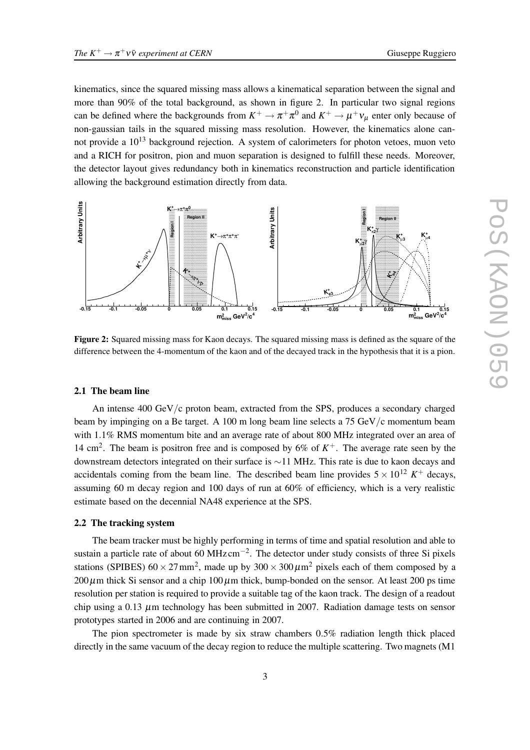kinematics, since the squared missing mass allows a kinematical separation between the signal and more than 90% of the total background, as shown in figure 2. In particular two signal regions can be defined where the backgrounds from  $K^+ \to \pi^+ \pi^0$  and  $K^+ \to \mu^+ \nu_\mu$  enter only because of non-gaussian tails in the squared missing mass resolution. However, the kinematics alone cannot provide a  $10^{13}$  background rejection. A system of calorimeters for photon vetoes, muon veto and a RICH for positron, pion and muon separation is designed to fulfill these needs. Moreover, the detector layout gives redundancy both in kinematics reconstruction and particle identification allowing the background estimation directly from data.



**Figure 2:** Squared missing mass for Kaon decays. The squared missing mass is defined as the square of the difference between the 4-momentum of the kaon and of the decayed track in the hypothesis that it is a pion.

#### **2.1 The beam line**

An intense 400 GeV/c proton beam, extracted from the SPS, produces a secondary charged beam by impinging on a Be target. A 100 m long beam line selects a 75 GeV/c momentum beam with 1.1% RMS momentum bite and an average rate of about 800 MHz integrated over an area of 14 cm<sup>2</sup>. The beam is positron free and is composed by 6% of  $K^+$ . The average rate seen by the downstream detectors integrated on their surface is ∼11 MHz. This rate is due to kaon decays and accidentals coming from the beam line. The described beam line provides  $5 \times 10^{12} K^+$  decays, assuming 60 m decay region and 100 days of run at 60% of efficiency, which is a very realistic estimate based on the decennial NA48 experience at the SPS.

# **2.2 The tracking system**

The beam tracker must be highly performing in terms of time and spatial resolution and able to sustain a particle rate of about 60 MHz cm<sup>-2</sup>. The detector under study consists of three Si pixels stations (SPIBES)  $60 \times 27$  mm<sup>2</sup>, made up by  $300 \times 300 \mu$ m<sup>2</sup> pixels each of them composed by a  $200 \mu$ m thick Si sensor and a chip  $100 \mu$ m thick, bump-bonded on the sensor. At least 200 ps time resolution per station is required to provide a suitable tag of the kaon track. The design of a readout chip using a 0.13  $\mu$ m technology has been submitted in 2007. Radiation damage tests on sensor prototypes started in 2006 and are continuing in 2007.

The pion spectrometer is made by six straw chambers 0.5% radiation length thick placed directly in the same vacuum of the decay region to reduce the multiple scattering. Two magnets (M1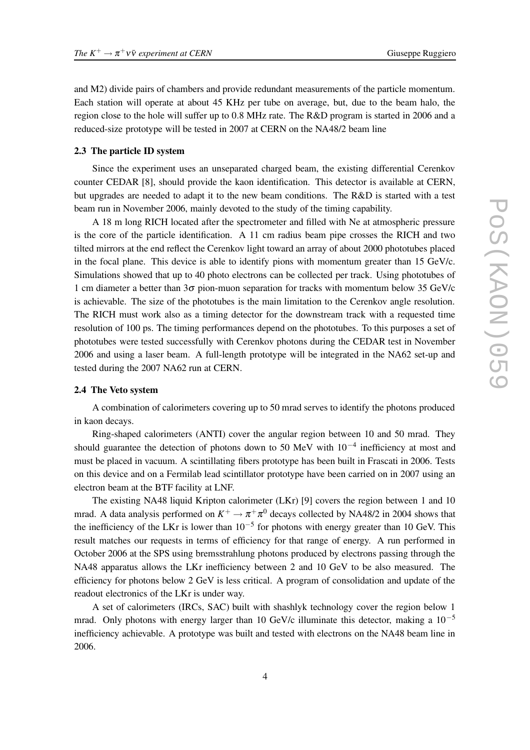and M2) divide pairs of chambers and provide redundant measurements of the particle momentum. Each station will operate at about 45 KHz per tube on average, but, due to the beam halo, the region close to the hole will suffer up to 0.8 MHz rate. The R&D program is started in 2006 and a reduced-size prototype will be tested in 2007 at CERN on the NA48/2 beam line

#### **2.3 The particle ID system**

Since the experiment uses an unseparated charged beam, the existing differential Cerenkov counter CEDAR [8], should provide the kaon identification. This detector is available at CERN, but upgrades are needed to adapt it to the new beam conditions. The R&D is started with a test beam run in November 2006, mainly devoted to the study of the timing capability.

A 18 m long RICH located after the spectrometer and filled with Ne at atmospheric pressure is the core of the particle identification. A 11 cm radius beam pipe crosses the RICH and two tilted mirrors at the end reflect the Cerenkov light toward an array of about 2000 phototubes placed in the focal plane. This device is able to identify pions with momentum greater than 15 GeV/c. Simulations showed that up to 40 photo electrons can be collected per track. Using phototubes of 1 cm diameter a better than  $3\sigma$  pion-muon separation for tracks with momentum below 35 GeV/c is achievable. The size of the phototubes is the main limitation to the Cerenkov angle resolution. The RICH must work also as a timing detector for the downstream track with a requested time resolution of 100 ps. The timing performances depend on the phototubes. To this purposes a set of phototubes were tested successfully with Cerenkov photons during the CEDAR test in November 2006 and using a laser beam. A full-length prototype will be integrated in the NA62 set-up and tested during the 2007 NA62 run at CERN.

#### **2.4 The Veto system**

A combination of calorimeters covering up to 50 mrad serves to identify the photons produced in kaon decays.

Ring-shaped calorimeters (ANTI) cover the angular region between 10 and 50 mrad. They should guarantee the detection of photons down to 50 MeV with  $10^{-4}$  inefficiency at most and must be placed in vacuum. A scintillating fibers prototype has been built in Frascati in 2006. Tests on this device and on a Fermilab lead scintillator prototype have been carried on in 2007 using an electron beam at the BTF facility at LNF.

The existing NA48 liquid Kripton calorimeter (LKr) [9] covers the region between 1 and 10 mrad. A data analysis performed on  $K^+ \to \pi^+ \pi^0$  decays collected by NA48/2 in 2004 shows that the inefficiency of the LKr is lower than  $10^{-5}$  for photons with energy greater than 10 GeV. This result matches our requests in terms of efficiency for that range of energy. A run performed in October 2006 at the SPS using bremsstrahlung photons produced by electrons passing through the NA48 apparatus allows the LKr inefficiency between 2 and 10 GeV to be also measured. The efficiency for photons below 2 GeV is less critical. A program of consolidation and update of the readout electronics of the LKr is under way.

A set of calorimeters (IRCs, SAC) built with shashlyk technology cover the region below 1 mrad. Only photons with energy larger than 10 GeV/c illuminate this detector, making a  $10^{-5}$ inefficiency achievable. A prototype was built and tested with electrons on the NA48 beam line in 2006.